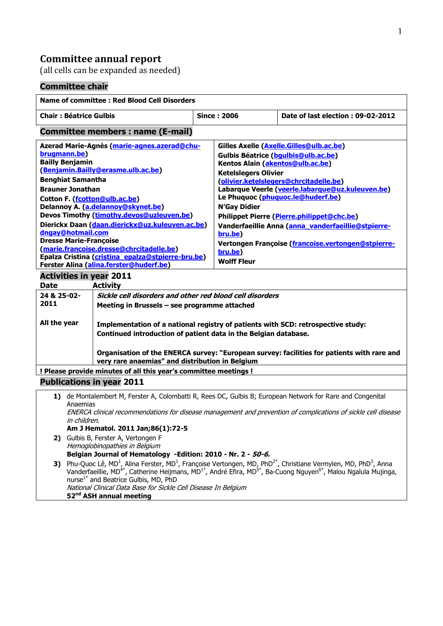## **Committee annual report**

(all cells can be expanded as needed)

# **Committee chair**

| <b>Name of committee : Red Blood Cell Disorders</b>                                                                                                                                                                                                                                                    |                                                                                                                                                                                                                                                                                                                                                                                                                                                                                                |                                          |                                                                                                                                                                                                                                                                                      |  |
|--------------------------------------------------------------------------------------------------------------------------------------------------------------------------------------------------------------------------------------------------------------------------------------------------------|------------------------------------------------------------------------------------------------------------------------------------------------------------------------------------------------------------------------------------------------------------------------------------------------------------------------------------------------------------------------------------------------------------------------------------------------------------------------------------------------|------------------------------------------|--------------------------------------------------------------------------------------------------------------------------------------------------------------------------------------------------------------------------------------------------------------------------------------|--|
| <b>Chair: Béatrice Gulbis</b>                                                                                                                                                                                                                                                                          |                                                                                                                                                                                                                                                                                                                                                                                                                                                                                                | <b>Since: 2006</b>                       | Date of last election: 09-02-2012                                                                                                                                                                                                                                                    |  |
| <b>Committee members: name (E-mail)</b>                                                                                                                                                                                                                                                                |                                                                                                                                                                                                                                                                                                                                                                                                                                                                                                |                                          |                                                                                                                                                                                                                                                                                      |  |
| Azerad Marie-Agnès (marie-agnes.azerad@chu-<br>brugmann.be)<br><b>Bailly Benjamin</b><br>(Benjamin.Bailly@erasme.ulb.ac.be)<br><b>Benghiat Samantha</b><br><b>Brauner Jonathan</b><br>Cotton F. (fcotton@ulb.ac.be)<br>Delannoy A. (a.delannoy@skynet.be)<br>Devos Timothy (timothy.devos@uzleuven.be) |                                                                                                                                                                                                                                                                                                                                                                                                                                                                                                | <b>N'Gay Didier</b>                      | Gilles Axelle (Axelle.Gilles@ulb.ac.be)<br>Gulbis Béatrice (bqulbis@ulb.ac.be)<br>Kentos Alain (akentos@ulb.ac.be)<br><b>Ketelslegers Olivier</b><br>(olivier.ketelslegers@chrcitadelle.be)<br>Labarque Veerle (veerle.labarque@uz.kuleuven.be)<br>Le Phuquoc (phuquoc.le@huderf.be) |  |
| Dierickx Daan (daan.dierickx@uz.kuleuven.ac.be)<br>dngay@hotmail.com<br><b>Dresse Marie-Françoise</b><br>(marie.francoise.dresse@chrcitadelle.be)<br>Epalza Cristina (cristina epalza@stpierre-bru.be)<br>Ferster Alina (alina.ferster@huderf.be)                                                      |                                                                                                                                                                                                                                                                                                                                                                                                                                                                                                | bru.be)<br>bru.be)<br><b>Wolff Fleur</b> | Philippet Pierre (Pierre.philippet@chc.be)<br>Vanderfaeillie Anna (anna vanderfaeillie@stpierre-<br>Vertongen Françoise (francoise.vertongen@stpierre-                                                                                                                               |  |
| <b>Activities in year 2011</b><br><b>Date</b><br><b>Activity</b>                                                                                                                                                                                                                                       |                                                                                                                                                                                                                                                                                                                                                                                                                                                                                                |                                          |                                                                                                                                                                                                                                                                                      |  |
| 24 & 25-02-<br>2011<br>All the year                                                                                                                                                                                                                                                                    | Sickle cell disorders and other red blood cell disorders<br>Meeting in Brussels - see programme attached<br>Implementation of a national registry of patients with SCD: retrospective study:<br>Continued introduction of patient data in the Belgian database.                                                                                                                                                                                                                                |                                          |                                                                                                                                                                                                                                                                                      |  |
| Organisation of the ENERCA survey: "European survey: facilities for patients with rare and<br>very rare anaemias" and distribution in Belgium                                                                                                                                                          |                                                                                                                                                                                                                                                                                                                                                                                                                                                                                                |                                          |                                                                                                                                                                                                                                                                                      |  |
| ! Please provide minutes of all this year's committee meetings !<br><b>Publications in year 2011</b>                                                                                                                                                                                                   |                                                                                                                                                                                                                                                                                                                                                                                                                                                                                                |                                          |                                                                                                                                                                                                                                                                                      |  |
| 1) de Montalembert M, Ferster A, Colombatti R, Rees DC, Gulbis B; European Network for Rare and Congenital<br>Anaemias<br>ENERCA clinical recommendations for disease management and prevention of complications of sickle cell disease<br>in children.<br>Am J Hematol, 2011 Jan:86(1):72-5           |                                                                                                                                                                                                                                                                                                                                                                                                                                                                                                |                                          |                                                                                                                                                                                                                                                                                      |  |
|                                                                                                                                                                                                                                                                                                        | 2) Gulbis B, Ferster A, Vertongen F<br>Hemoglobinopathies in Belgium<br>Belgian Journal of Hematology -Edition: 2010 - Nr. 2 - 50-6.                                                                                                                                                                                                                                                                                                                                                           |                                          |                                                                                                                                                                                                                                                                                      |  |
| 3)                                                                                                                                                                                                                                                                                                     | Phu-Quoc Lê, MD <sup>1</sup> , Alina Ferster, MD <sup>1</sup> , Françoise Vertongen, MD, PhD <sup>2*</sup> , Christiane Vermylen, MD, PhD <sup>3</sup> , Anna<br>Vanderfaeillie, MD <sup>4*</sup> , Catherine Heijmans, MD <sup>1*</sup> , André Efira, MD <sup>5*</sup> , Ba-Cuong Nguyen <sup>6*</sup> , Malou Ngalula Mujinga,<br>nurse <sup>1*</sup> and Beatrice Gulbis, MD, PhD<br>National Clinical Data Base for Sickle Cell Disease In Belgium<br>52 <sup>nd</sup> ASH annual meeting |                                          |                                                                                                                                                                                                                                                                                      |  |